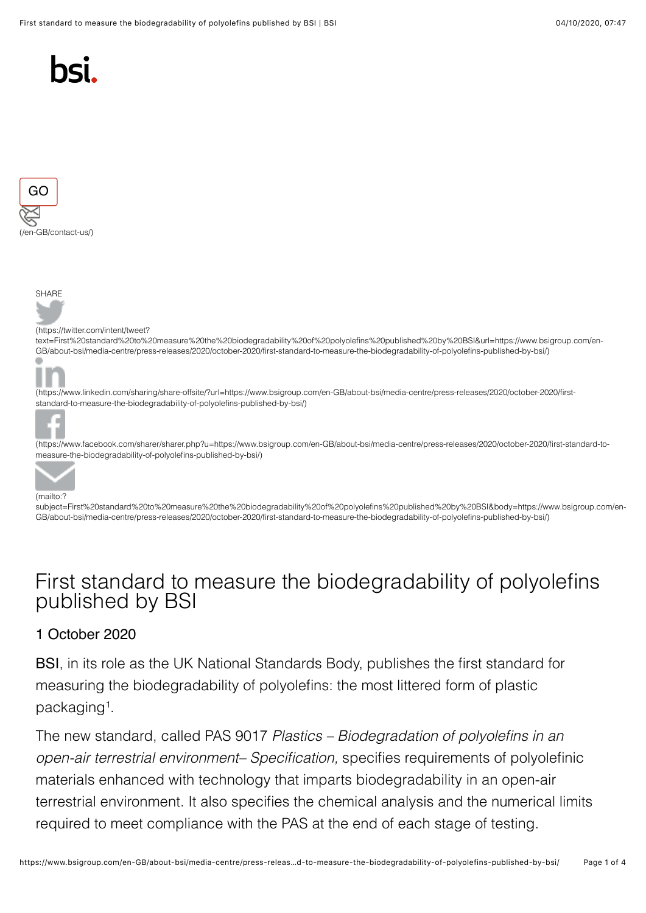





#### (https://twitter.com/intent/tweet?

[text=First%20standard%20to%20measure%20the%20biodegradability%20of%20polyolefins%20published%20by%20BSI&url=https://www.bsigroup.com/en-](https://twitter.com/intent/tweet?text=First%20standard%20to%20measure%20the%20biodegradability%20of%20polyolefins%20published%20by%20BSI&url=https://www.bsigroup.com/en-GB/about-bsi/media-centre/press-releases/2020/october-2020/first-standard-to-measure-the-biodegradability-of-polyolefins-published-by-bsi/)GB/about-bsi/media-centre/press-releases/2020/october-2020/first-standard-to-measure-the-biodegradability-of-polyolefins-published-by-bsi/)



[\(https://www.linkedin.com/sharing/share-offsite/?url=https://www.bsigroup.com/en-GB/about-bsi/media-centre/press-releases/2020/october-2020/first](https://www.linkedin.com/sharing/share-offsite/?url=https://www.bsigroup.com/en-GB/about-bsi/media-centre/press-releases/2020/october-2020/first-standard-to-measure-the-biodegradability-of-polyolefins-published-by-bsi/)standard-to-measure-the-biodegradability-of-polyolefins-published-by-bsi/)



(https://www.facebook.com/sharer/sharer.php?u=https://www.bsigroup.com/en-GB/about-bsi/media-centre/press-releases/2020/october-2020/first-standard-tomeasure-the-biodegradability-of-polyolefins-published-by-bsi/)



[subject=First%20standard%20to%20measure%20the%20biodegradability%20of%20polyolefins%20published%20by%20BSI&body=https://www.bsigroup.com](https://www.facebook.com/sharer/sharer.php?u=https://www.bsigroup.com/en-GB/about-bsi/media-centre/press-releases/2020/october-2020/first-standard-to-measure-the-biodegradability-of-polyolefins-published-by-bsi/)/en-GB/about-bsi/media-centre/press-releases/2020/october-2020/first-standard-to-measure-the-biodegradability-of-polyolefins-published-by-bsi/)

# First standard to measure the biodegradability of polyolefins published by BSI

#### 1 October 2020

[BSI](https://www.bsigroup.com/en-GB/)[, in its role as the UK National Standards Body, publishes the first standard for](mailto:?subject=First%20standard%20to%20measure%20the%20biodegradability%20of%20polyolefins%20published%20by%20BSI&body=https://www.bsigroup.com/en-GB/about-bsi/media-centre/press-releases/2020/october-2020/first-standard-to-measure-the-biodegradability-of-polyolefins-published-by-bsi/) measuring the biodegradability of polyolefins: the most littered form of plastic packaging<sup>1</sup>.

The new standard, called PAS 9017 *Plastics – Biodegradation of polyolefins in an open-air terrestrial environment– Specification,* specifies requirements of polyolefinic materials enhanced with technology that imparts biodegradability in an open-air terrestrial environment. It also specifies the chemical analysis and the numerical limits required to meet compliance with the PAS at the end of each stage of testing.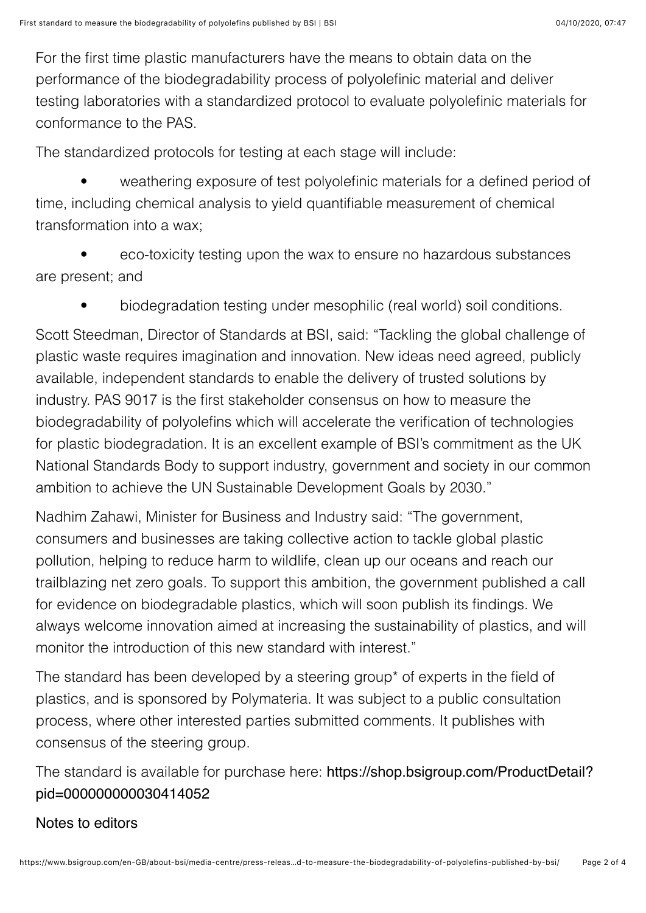For the first time plastic manufacturers have the means to obtain data on the performance of the biodegradability process of polyolefinic material and deliver testing laboratories with a standardized protocol to evaluate polyolefinic materials for conformance to the PAS.

The standardized protocols for testing at each stage will include:

 • weathering exposure of test polyolefinic materials for a defined period of time, including chemical analysis to yield quantifiable measurement of chemical transformation into a wax;

 • eco-toxicity testing upon the wax to ensure no hazardous substances are present; and

• biodegradation testing under mesophilic (real world) soil conditions.

Scott Steedman, Director of Standards at BSI, said: "Tackling the global challenge of plastic waste requires imagination and innovation. New ideas need agreed, publicly available, independent standards to enable the delivery of trusted solutions by industry. PAS 9017 is the first stakeholder consensus on how to measure the biodegradability of polyolefins which will accelerate the verification of technologies for plastic biodegradation. It is an excellent example of BSI's commitment as the UK National Standards Body to support industry, government and society in our common ambition to achieve the UN Sustainable Development Goals by 2030."

Nadhim Zahawi, Minister for Business and Industry said: "The government, consumers and businesses are taking collective action to tackle global plastic pollution, helping to reduce harm to wildlife, clean up our oceans and reach our trailblazing net zero goals. To support this ambition, the government published a call for evidence on biodegradable plastics, which will soon publish its findings. We always welcome innovation aimed at increasing the sustainability of plastics, and will monitor the introduction of this new standard with interest."

The standard has been developed by a steering group\* of experts in the field of plastics, and is sponsored by Polymateria. It was subject to a public consultation process, where other interested parties submitted comments. It publishes with consensus of the steering group.

[The standard is available for purchase here:](https://shop.bsigroup.com/ProductDetail?pid=000000000030414052) https://shop.bsigroup.com/ProductDetail? pid=000000000030414052

### Notes to editors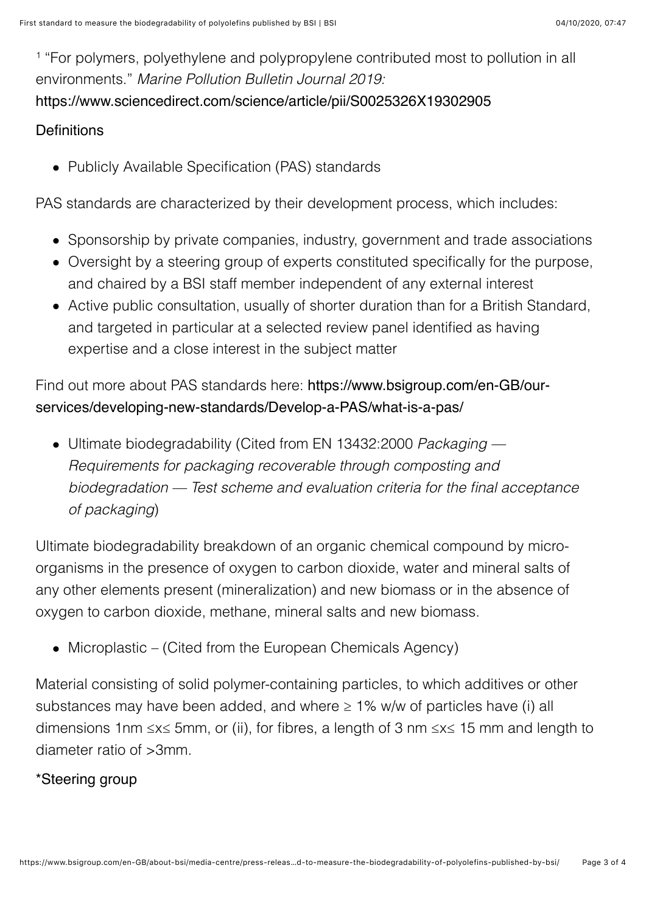<sup>1</sup> "For polymers, polyethylene and polypropylene contributed most to pollution in all environments." *Marine Pollution Bulletin Journal 2019:* [https://www.sciencedirect.com/science/article/pii/S0025326X19302905](https://eur03.safelinks.protection.outlook.com/?url=https://www.sciencedirect.com/science/article/pii/S0025326X19302905&data=02%7C01%7CStephanie.Croucher@bsigroup.com%7Ce400c0a158cf4c35854008d85b2b7d1e%7C54946ffc68d34955ac70dca726d445b4%7C0%7C0%7C637359590052768020&sdata=UdYkqesdAXpxZrM9aa3Ea8fEy+DD87PFlouebdlDcGg=&reserved=0)

#### **Definitions**

• Publicly Available Specification (PAS) standards

PAS standards are characterized by their development process, which includes:

- Sponsorship by private companies, industry, government and trade associations
- Oversight by a steering group of experts constituted specifically for the purpose, and chaired by a BSI staff member independent of any external interest
- Active public consultation, usually of shorter duration than for a British Standard, and targeted in particular at a selected review panel identified as having expertise and a close interest in the subject matter

## Find out more about PAS standards here: https://www.bsigroup.com/en-GB/our[services/developing-new-standards/Develop-a-PAS/what-is-a-pas/](https://www.bsigroup.com/en-GB/our-services/developing-new-standards/Develop-a-PAS/what-is-a-pas/)

Ultimate biodegradability (Cited from EN 13432:2000 *Packaging — Requirements for packaging recoverable through composting and biodegradation — Test scheme and evaluation criteria for the final acceptance of packaging*)

Ultimate biodegradability breakdown of an organic chemical compound by microorganisms in the presence of oxygen to carbon dioxide, water and mineral salts of any other elements present (mineralization) and new biomass or in the absence of oxygen to carbon dioxide, methane, mineral salts and new biomass.

Microplastic – (Cited from the European Chemicals Agency)

Material consisting of solid polymer-containing particles, to which additives or other substances may have been added, and where  $\geq 1\%$  w/w of particles have (i) all dimensions 1nm ≤x≤ 5mm, or (ii), for fibres, a length of 3 nm ≤x≤ 15 mm and length to diameter ratio of >3mm.

### \*Steering group